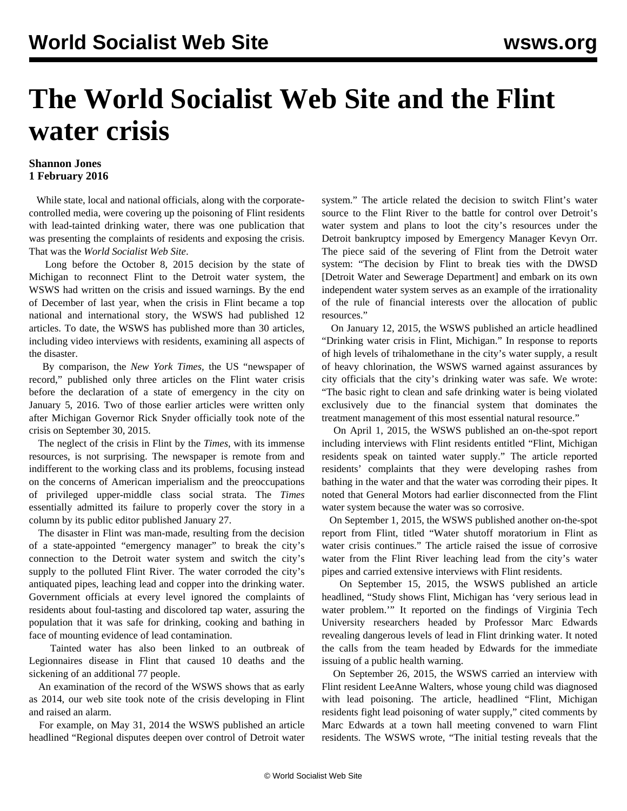## **The World Socialist Web Site and the Flint water crisis**

## **Shannon Jones 1 February 2016**

 While state, local and national officials, along with the corporatecontrolled media, were covering up the poisoning of Flint residents with lead-tainted drinking water, there was one publication that was presenting the complaints of residents and exposing the crisis. That was the *World Socialist Web Site*.

 Long before the October 8, 2015 decision by the state of Michigan to reconnect Flint to the Detroit water system, the WSWS had written on the crisis and issued warnings. By the end of December of last year, when the crisis in Flint became a top national and international story, the WSWS had published 12 articles. To date, the WSWS has published more than 30 articles, including video interviews with residents, examining all aspects of the disaster.

 By comparison, the *New York Times,* the US "newspaper of record," published only three articles on the Flint water crisis before the declaration of a state of emergency in the city on January 5, 2016. Two of those earlier articles were written only after Michigan Governor Rick Snyder officially took note of the crisis on September 30, 2015.

 The neglect of the crisis in Flint by the *Times*, with its immense resources, is not surprising. The newspaper is remote from and indifferent to the working class and its problems, focusing instead on the concerns of American imperialism and the preoccupations of privileged upper-middle class social strata. The *Times* essentially admitted its failure to properly cover the story in a [column by its public editor](http://publiceditor.blogs.nytimes.com/2016/01/27/flint-water-margaret-sullivan-new-york-times-public-editor/) published January 27.

 The disaster in Flint was man-made, resulting from the decision of a state-appointed "emergency manager" to break the city's connection to the Detroit water system and switch the city's supply to the polluted Flint River. The water corroded the city's antiquated pipes, leaching lead and copper into the drinking water. Government officials at every level ignored the complaints of residents about foul-tasting and discolored tap water, assuring the population that it was safe for drinking, cooking and bathing in face of mounting evidence of lead contamination.

 Tainted water has also been linked to an outbreak of Legionnaires disease in Flint that caused 10 deaths and the sickening of an additional 77 people.

 An examination of the record of the WSWS shows that as early as 2014, our web site took note of the crisis developing in Flint and raised an alarm.

 For example, on May 31, 2014 the WSWS published an article headlined "[Regional disputes deepen over control of Detroit water](/en/articles/2014/05/31/dwsd-m31.html) [system](/en/articles/2014/05/31/dwsd-m31.html)." The article related the decision to switch Flint's water source to the Flint River to the battle for control over Detroit's water system and plans to loot the city's resources under the Detroit bankruptcy imposed by Emergency Manager Kevyn Orr. The piece said of the severing of Flint from the Detroit water system: "The decision by Flint to break ties with the DWSD [Detroit Water and Sewerage Department] and embark on its own independent water system serves as an example of the irrationality of the rule of financial interests over the allocation of public resources."

 On January 12, 2015, the WSWS published an article headlined "[Drinking water crisis in Flint, Michigan.](/en/articles/2015/01/12/flin-j12.html)" In response to reports of high levels of trihalomethane in the city's water supply, a result of heavy chlorination, the WSWS warned against assurances by city officials that the city's drinking water was safe. We wrote: "The basic right to clean and safe drinking water is being violated exclusively due to the financial system that dominates the treatment management of this most essential natural resource."

 On April 1, 2015, the WSWS published an on-the-spot report including interviews with Flint residents entitled "[Flint, Michigan](/en/articles/2015/04/01/flin-a01.html) [residents speak on tainted water supply."](/en/articles/2015/04/01/flin-a01.html) The article reported residents' complaints that they were developing rashes from bathing in the water and that the water was corroding their pipes. It noted that General Motors had earlier disconnected from the Flint water system because the water was so corrosive.

 On September 1, 2015, the WSWS published another on-the-spot report from Flint, titled "[Water shutoff moratorium in Flint as](/en/articles/2015/09/01/flnt-s01.html) [water crisis continues.](/en/articles/2015/09/01/flnt-s01.html)" The article raised the issue of corrosive water from the Flint River leaching lead from the city's water pipes and carried extensive interviews with Flint residents.

 On September 15, 2015, the WSWS published an article headlined, ["Study shows Flint, Michigan has 'very serious lead in](/en/articles/2015/09/15/wate-s15.html) [water problem.'"](/en/articles/2015/09/15/wate-s15.html) It reported on the findings of Virginia Tech University researchers headed by Professor Marc Edwards revealing dangerous levels of lead in Flint drinking water. It noted the calls from the team headed by Edwards for the immediate issuing of a public health warning.

 On September 26, 2015, the WSWS carried an interview with Flint resident LeeAnne Walters, whose young child was diagnosed with lead poisoning. The article, headlined ["Flint, Michigan](/en/articles/2015/09/26/flin-s26.html) [residents fight lead poisoning of water supply](/en/articles/2015/09/26/flin-s26.html)," cited comments by Marc Edwards at a town hall meeting convened to warn Flint residents. The WSWS wrote, "The initial testing reveals that the